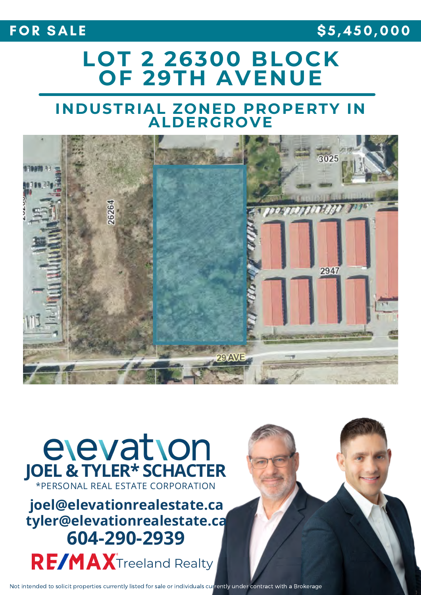## FOR SALE \$5,450,000

## **LOT 2 26300 BLOCK OF 29TH AVENUE**

## **INDUSTRIAL ZONED PROPERTY IN ALDERGROVE**



# elevation **JOEL & TYLER\* SCHACTER**

RE/MAXTreeland Realty **f i f joel@elevationrealestate.ca**<br>**tyler@elevationrealestate.ca**<br>**604-290-2939** 

Not intended to solicit properties currently listed for sale or individuals currently under contract with a Brokerage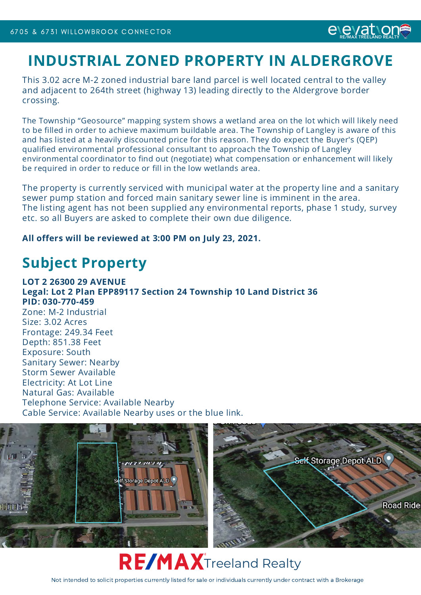## **INDUSTRIAL ZONED PROPERTY IN ALDERGROVE**

*e eMAX* TREELAND REA

This 3.02 acre M-2 zoned industrial bare land parcel is well located central to the valley and adjacent to 264th street (highway 13) leading directly to the Aldergrove border crossing.

The Township "Geosource" mapping system shows a wetland area on the lot which will likely need to be filled in order to achieve maximum buildable area. The Township of Langley is aware of this and has listed at a heavily discounted price for this reason. They do expect the Buyer's (QEP) qualified environmental professional consultant to approach the Township of Langley environmental coordinator to find out (negotiate) what compensation or enhancement will likely be required in order to reduce or fill in the low wetlands area.

The property is currently serviced with municipal water at the property line and a sanitary sewer pump station and forced main sanitary sewer line is imminent in the area. The listing agent has not been supplied any environmental reports, phase 1 study, survey etc. so all Buyers are asked to complete their own due diligence.

#### **All offers will be reviewed at 3:00 PM on July 23, 2021.**

## **Subject Property**

**LOT 2 26300 29 AVENUE Legal: Lot 2 Plan EPP89117 Section 24 Township 10 Land District 36 PID: 030-770-459** Zone: M-2 Industrial

Size: 3.02 Acres Frontage: 249.34 Feet Depth: 851.38 Feet Exposure: South Sanitary Sewer: Nearby Storm Sewer Available Electricity: At Lot Line Natural Gas: Available Telephone Service: Available Nearby Cable Service: Available Nearby uses or the blue link.





Not intended to solicit properties currently listed for sale or individuals currently under contract with a Brokerage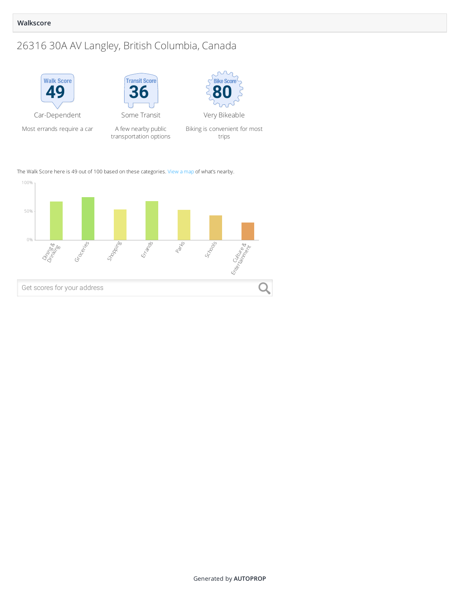#### **Walkscore**

## 26316 30A AV Langley, British Columbia, Canada



transportation options

Biking is convenient for most trips

The Walk Score here is 49 out of 100 based on these categories. [View a map](https://www.walkscore.com/score/26316-30A-AV-Langley-British-Columbia-Canada/?utm_source=walkscore.com&utm_medium=graph_text_link&utm_campaign=ws_score_widget) of what's nearby.

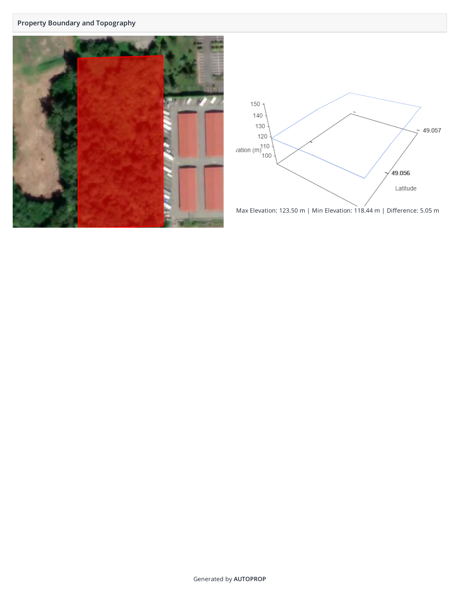#### **Property Boundary and Topography**





Max Elevation: 123.50 m | Min Elevation: 118.44 m | Difference: 5.05 m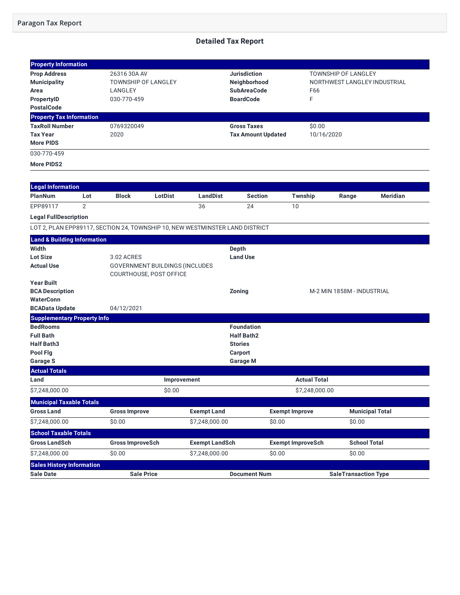#### **Paragon Tax Report**

#### **Detailed Tax Report**

| <b>Property Information</b>                                                  |                |                            |                                       |                       |                           |                          |                     |                              |                 |
|------------------------------------------------------------------------------|----------------|----------------------------|---------------------------------------|-----------------------|---------------------------|--------------------------|---------------------|------------------------------|-----------------|
| <b>Prop Address</b>                                                          |                | 26316 30A AV               |                                       |                       | <b>Jurisdiction</b>       |                          |                     | <b>TOWNSHIP OF LANGLEY</b>   |                 |
| <b>Municipality</b>                                                          |                | <b>TOWNSHIP OF LANGLEY</b> |                                       |                       | Neighborhood              |                          |                     | NORTHWEST LANGLEY INDUSTRIAL |                 |
| Area                                                                         |                | LANGLEY                    |                                       |                       | <b>SubAreaCode</b>        |                          | F66                 |                              |                 |
| <b>PropertyID</b>                                                            |                | 030-770-459                |                                       |                       | <b>BoardCode</b>          |                          | F                   |                              |                 |
| <b>PostalCode</b>                                                            |                |                            |                                       |                       |                           |                          |                     |                              |                 |
| <b>Property Tax Information</b>                                              |                |                            |                                       |                       |                           |                          |                     |                              |                 |
| <b>TaxRoll Number</b>                                                        |                | 0769320049                 |                                       |                       | <b>Gross Taxes</b>        |                          | \$0.00              |                              |                 |
| <b>Tax Year</b>                                                              |                | 2020                       |                                       |                       | <b>Tax Amount Updated</b> |                          | 10/16/2020          |                              |                 |
| <b>More PIDS</b>                                                             |                |                            |                                       |                       |                           |                          |                     |                              |                 |
| 030-770-459                                                                  |                |                            |                                       |                       |                           |                          |                     |                              |                 |
| More PIDS2                                                                   |                |                            |                                       |                       |                           |                          |                     |                              |                 |
|                                                                              |                |                            |                                       |                       |                           |                          |                     |                              |                 |
| <b>Legal Information</b>                                                     |                |                            |                                       |                       |                           |                          |                     |                              |                 |
| PlanNum                                                                      | Lot            | <b>Block</b>               | LotDist                               | LandDist              | <b>Section</b>            | Twnship                  |                     | Range                        | <b>Meridian</b> |
| EPP89117                                                                     | $\overline{2}$ |                            |                                       | 36                    | 24                        | 10                       |                     |                              |                 |
| <b>Legal FullDescription</b>                                                 |                |                            |                                       |                       |                           |                          |                     |                              |                 |
| LOT 2, PLAN EPP89117, SECTION 24, TOWNSHIP 10, NEW WESTMINSTER LAND DISTRICT |                |                            |                                       |                       |                           |                          |                     |                              |                 |
| <b>Land &amp; Building Information</b>                                       |                |                            |                                       |                       |                           |                          |                     |                              |                 |
| Width                                                                        |                |                            |                                       |                       | Depth                     |                          |                     |                              |                 |
| <b>Lot Size</b>                                                              |                | 3.02 ACRES                 |                                       |                       | <b>Land Use</b>           |                          |                     |                              |                 |
| <b>Actual Use</b>                                                            |                |                            | <b>GOVERNMENT BUILDINGS (INCLUDES</b> |                       |                           |                          |                     |                              |                 |
|                                                                              |                |                            | COURTHOUSE, POST OFFICE               |                       |                           |                          |                     |                              |                 |
| <b>Year Built</b>                                                            |                |                            |                                       |                       |                           |                          |                     |                              |                 |
| <b>BCA Description</b>                                                       |                |                            |                                       |                       | Zoning                    |                          |                     | M-2 MIN 1858M - INDUSTRIAL   |                 |
| <b>WaterConn</b>                                                             |                |                            |                                       |                       |                           |                          |                     |                              |                 |
| <b>BCAData Update</b>                                                        |                | 04/12/2021                 |                                       |                       |                           |                          |                     |                              |                 |
| <b>Supplementary Property Info</b><br><b>BedRooms</b>                        |                |                            |                                       |                       | <b>Foundation</b>         |                          |                     |                              |                 |
| <b>Full Bath</b>                                                             |                |                            |                                       |                       | <b>Half Bath2</b>         |                          |                     |                              |                 |
| <b>Half Bath3</b>                                                            |                |                            |                                       |                       | <b>Stories</b>            |                          |                     |                              |                 |
| Pool Flg                                                                     |                |                            |                                       |                       | Carport                   |                          |                     |                              |                 |
| <b>Garage S</b>                                                              |                |                            |                                       |                       | <b>Garage M</b>           |                          |                     |                              |                 |
| <b>Actual Totals</b>                                                         |                |                            |                                       |                       |                           |                          |                     |                              |                 |
| Land                                                                         |                |                            | Improvement                           |                       |                           |                          | <b>Actual Total</b> |                              |                 |
| \$7,248,000.00                                                               |                |                            | \$0.00                                |                       |                           |                          | \$7,248,000.00      |                              |                 |
| <b>Municipal Taxable Totals</b>                                              |                |                            |                                       |                       |                           |                          |                     |                              |                 |
| <b>Gross Land</b>                                                            |                | <b>Gross Improve</b>       |                                       | <b>Exempt Land</b>    |                           | <b>Exempt Improve</b>    |                     | <b>Municipal Total</b>       |                 |
| \$7,248,000.00                                                               |                | \$0.00                     |                                       | \$7,248,000.00        |                           | \$0.00                   |                     | \$0.00                       |                 |
| <b>School Taxable Totals</b>                                                 |                |                            |                                       |                       |                           |                          |                     |                              |                 |
| <b>Gross LandSch</b>                                                         |                | <b>Gross ImproveSch</b>    |                                       | <b>Exempt LandSch</b> |                           | <b>Exempt ImproveSch</b> |                     | <b>School Total</b>          |                 |
| \$7,248,000.00                                                               |                | \$0.00                     |                                       | \$7,248,000.00        |                           | \$0.00                   |                     | \$0.00                       |                 |
| <b>Sales History Information</b>                                             |                |                            |                                       |                       |                           |                          |                     |                              |                 |
| <b>Sale Date</b>                                                             |                | <b>Sale Price</b>          |                                       |                       | <b>Document Num</b>       |                          |                     | <b>SaleTransaction Type</b>  |                 |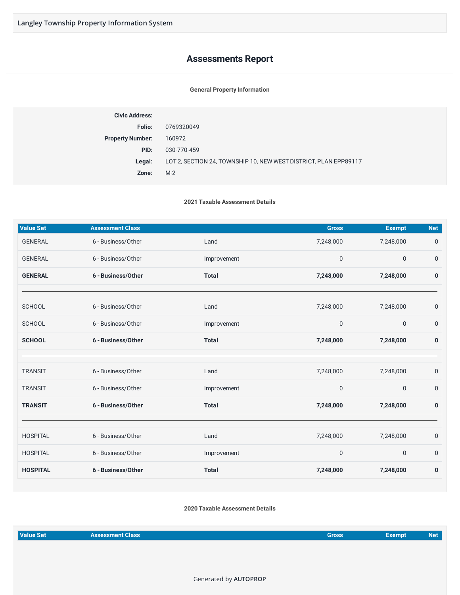#### **Assessments Report**

#### **General Property Information**

| Folio:<br>0769320049<br><b>Property Number:</b><br>160972<br>PID:<br>030-770-459<br>LOT 2, SECTION 24, TOWNSHIP 10, NEW WEST DISTRICT, PLAN EPP89117<br>Legal:<br>$M-2$<br>Zone: | <b>Civic Address:</b> |  |
|----------------------------------------------------------------------------------------------------------------------------------------------------------------------------------|-----------------------|--|
|                                                                                                                                                                                  |                       |  |
|                                                                                                                                                                                  |                       |  |
|                                                                                                                                                                                  |                       |  |
|                                                                                                                                                                                  |                       |  |
|                                                                                                                                                                                  |                       |  |

**2021 Taxable Assessment Details**

| <b>Value Set</b> | <b>Assessment Class</b> |              | <b>Gross</b> | <b>Exempt</b> | <b>Net</b>       |
|------------------|-------------------------|--------------|--------------|---------------|------------------|
| <b>GENERAL</b>   | 6 - Business/Other      | Land         | 7,248,000    | 7,248,000     | $\boldsymbol{0}$ |
| <b>GENERAL</b>   | 6 - Business/Other      | Improvement  | 0            | $\mathbf 0$   | $\mathbf 0$      |
| <b>GENERAL</b>   | 6 - Business/Other      | <b>Total</b> | 7,248,000    | 7,248,000     | $\bf{0}$         |
|                  |                         |              |              |               |                  |
| <b>SCHOOL</b>    | 6 - Business/Other      | Land         | 7,248,000    | 7,248,000     | $\mathbf 0$      |
| <b>SCHOOL</b>    | 6 - Business/Other      | Improvement  | $\mathbf 0$  | $\mathbf 0$   | $\boldsymbol{0}$ |
| <b>SCHOOL</b>    | 6 - Business/Other      | <b>Total</b> | 7,248,000    | 7,248,000     | $\bf{0}$         |
|                  |                         |              |              |               |                  |
| <b>TRANSIT</b>   | 6 - Business/Other      | Land         | 7,248,000    | 7,248,000     | $\boldsymbol{0}$ |
| <b>TRANSIT</b>   | 6 - Business/Other      | Improvement  | 0            | $\mathbf 0$   | $\mathbf 0$      |
| <b>TRANSIT</b>   | 6 - Business/Other      | <b>Total</b> | 7,248,000    | 7,248,000     | $\pmb{0}$        |
|                  |                         |              |              |               |                  |
| <b>HOSPITAL</b>  | 6 - Business/Other      | Land         | 7,248,000    | 7,248,000     | $\mathbf 0$      |
| <b>HOSPITAL</b>  | 6 - Business/Other      | Improvement  | $\mathbf 0$  | $\mathbf{0}$  | $\mathbf 0$      |
| <b>HOSPITAL</b>  | 6 - Business/Other      | <b>Total</b> | 7,248,000    | 7,248,000     | 0                |

#### **2020 Taxable Assessment Details**

| Value Set<br><b>Assessment Class</b><br>Gross | Exempt' | Net |
|-----------------------------------------------|---------|-----|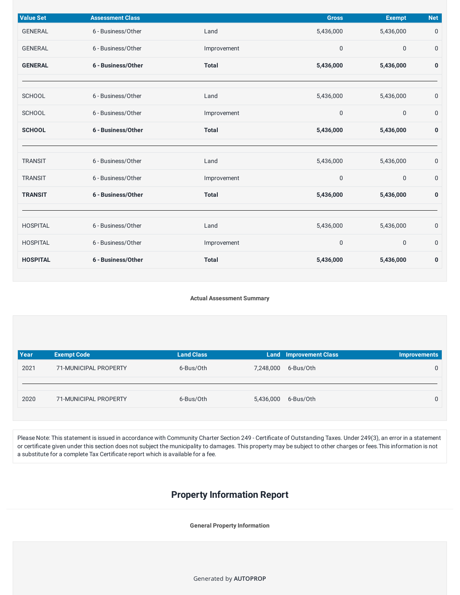| <b>Value Set</b> | <b>Assessment Class</b> |              | <b>Gross</b> | <b>Exempt</b>    | <b>Net</b>       |
|------------------|-------------------------|--------------|--------------|------------------|------------------|
| <b>GENERAL</b>   | 6 - Business/Other      | Land         | 5,436,000    | 5,436,000        | $\mathbf 0$      |
| <b>GENERAL</b>   | 6 - Business/Other      | Improvement  | $\pmb{0}$    | $\boldsymbol{0}$ | $\mathbf 0$      |
| <b>GENERAL</b>   | 6 - Business/Other      | <b>Total</b> | 5,436,000    | 5,436,000        | 0                |
|                  |                         |              |              |                  |                  |
| <b>SCHOOL</b>    | 6 - Business/Other      | Land         | 5,436,000    | 5,436,000        | $\mathbf 0$      |
| <b>SCHOOL</b>    | 6 - Business/Other      | Improvement  | $\mathbf 0$  | $\boldsymbol{0}$ | $\boldsymbol{0}$ |
| <b>SCHOOL</b>    | 6 - Business/Other      | <b>Total</b> | 5,436,000    | 5,436,000        | $\pmb{0}$        |
|                  |                         |              |              |                  |                  |
| <b>TRANSIT</b>   | 6 - Business/Other      | Land         | 5,436,000    | 5,436,000        | $\mathbf 0$      |
| <b>TRANSIT</b>   | 6 - Business/Other      | Improvement  | $\pmb{0}$    | $\boldsymbol{0}$ | $\mathbf 0$      |
| <b>TRANSIT</b>   | 6 - Business/Other      | <b>Total</b> | 5,436,000    | 5,436,000        | $\pmb{0}$        |
|                  |                         |              |              |                  |                  |
| <b>HOSPITAL</b>  | 6 - Business/Other      | Land         | 5,436,000    | 5,436,000        | $\boldsymbol{0}$ |
| <b>HOSPITAL</b>  | 6 - Business/Other      | Improvement  | $\pmb{0}$    | $\mathbf 0$      | $\boldsymbol{0}$ |
| <b>HOSPITAL</b>  | 6 - Business/Other      | <b>Total</b> | 5,436,000    | 5,436,000        | 0                |

**Actual Assessment Summary**

| Year | <b>Exempt Code</b>    | <b>Land Class</b> |                     | <b>Land Improvement Class</b> | <b>Improvements</b> |
|------|-----------------------|-------------------|---------------------|-------------------------------|---------------------|
| 2021 | 71-MUNICIPAL PROPERTY | 6-Bus/Oth         | 7,248,000           | 6-Bus/Oth                     | 0                   |
|      |                       |                   |                     |                               |                     |
| 2020 | 71-MUNICIPAL PROPERTY | 6-Bus/Oth         | 5,436,000 6-Bus/Oth |                               | 0                   |
|      |                       |                   |                     |                               |                     |

Please Note: This statement is issued in accordance with Community Charter Section 249 - Certificate of Outstanding Taxes. Under 249(3), an error in a statement or certificate given under this section does not subject the municipality to damages. This property may be subject to other charges or fees.This information is not a substitute for a complete Tax Certificate report which is available for a fee.

### **Property Information Report**

**General Property Information**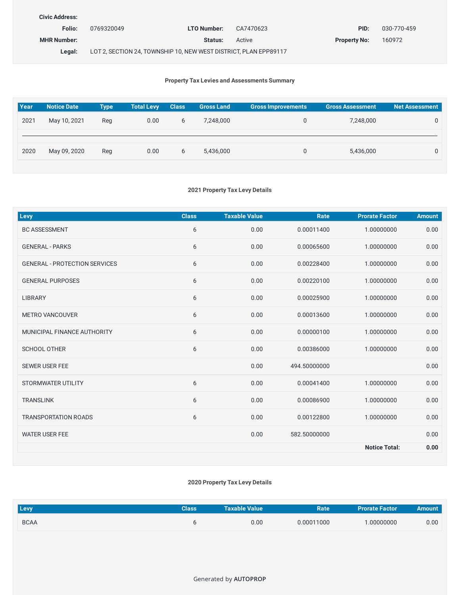| <b>Civic Address:</b> |                                                                  |             |           |                     |             |
|-----------------------|------------------------------------------------------------------|-------------|-----------|---------------------|-------------|
| Folio:                | 0769320049                                                       | LTO Number: | CA7470623 | PID:                | 030-770-459 |
| <b>MHR Number:</b>    |                                                                  | Status:     | Active    | <b>Property No:</b> | 160972      |
| Legal:                | LOT 2, SECTION 24, TOWNSHIP 10, NEW WEST DISTRICT, PLAN EPP89117 |             |           |                     |             |

#### **Property Tax Levies and Assessments Summary**

| <b>Year</b> | <b>Notice Date</b> | <b>Type</b> | <b>Total Levy</b> | <b>Class</b> | <b>Gross Land</b> | <b>Gross Improvements</b> | <b>Gross Assessment</b> | <b>Net Assessment</b> |
|-------------|--------------------|-------------|-------------------|--------------|-------------------|---------------------------|-------------------------|-----------------------|
| 2021        | May 10, 2021       | Reg         | 0.00              | 6            | 7,248,000         | $\mathbf{0}$              | 7,248,000               | $\Omega$              |
| 2020        | May 09, 2020       | Reg         | 0.00              | 6            | 5,436,000         | 0                         | 5,436,000               | $\Omega$              |

#### **2021 Property Tax Levy Details**

| <b>Levy</b>                          | <b>Class</b> | <b>Taxable Value</b> | Rate         | <b>Prorate Factor</b> | <b>Amount</b> |
|--------------------------------------|--------------|----------------------|--------------|-----------------------|---------------|
| <b>BC ASSESSMENT</b>                 | 6            | 0.00                 | 0.00011400   | 1.00000000            | 0.00          |
| <b>GENERAL - PARKS</b>               | 6            | 0.00                 | 0.00065600   | 1.00000000            | 0.00          |
| <b>GENERAL - PROTECTION SERVICES</b> | 6            | 0.00                 | 0.00228400   | 1.00000000            | 0.00          |
| <b>GENERAL PURPOSES</b>              | 6            | 0.00                 | 0.00220100   | 1.00000000            | 0.00          |
| <b>LIBRARY</b>                       | 6            | 0.00                 | 0.00025900   | 1.00000000            | 0.00          |
| <b>METRO VANCOUVER</b>               | 6            | 0.00                 | 0.00013600   | 1.00000000            | 0.00          |
| MUNICIPAL FINANCE AUTHORITY          | 6            | 0.00                 | 0.00000100   | 1.00000000            | 0.00          |
| <b>SCHOOL OTHER</b>                  | 6            | 0.00                 | 0.00386000   | 1.00000000            | 0.00          |
| <b>SEWER USER FEE</b>                |              | 0.00                 | 494.50000000 |                       | 0.00          |
| STORMWATER UTILITY                   | 6            | 0.00                 | 0.00041400   | 1.00000000            | 0.00          |
| <b>TRANSLINK</b>                     | 6            | 0.00                 | 0.00086900   | 1.00000000            | 0.00          |
| <b>TRANSPORTATION ROADS</b>          | 6            | 0.00                 | 0.00122800   | 1.00000000            | 0.00          |
| <b>WATER USER FEE</b>                |              | 0.00                 | 582.50000000 |                       | 0.00          |
|                                      |              |                      |              | <b>Notice Total:</b>  | 0.00          |

#### **2020 Property Tax Levy Details**

| Levy        | Class | <b>Taxable Value</b> | Rate       | <b>Prorate Factor</b> | Amount |
|-------------|-------|----------------------|------------|-----------------------|--------|
| <b>BCAA</b> |       | 0.00                 | 0.00011000 | .00000000             | 0.00   |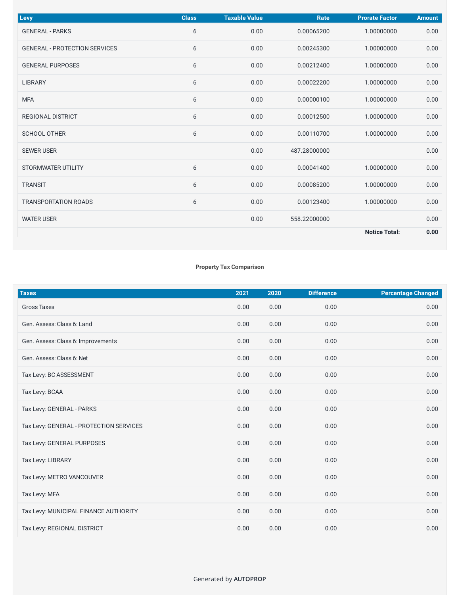| Levy                                 | <b>Class</b> | <b>Taxable Value</b> | Rate         | <b>Prorate Factor</b> | <b>Amount</b> |
|--------------------------------------|--------------|----------------------|--------------|-----------------------|---------------|
| <b>GENERAL - PARKS</b>               | 6            | 0.00                 | 0.00065200   | 1.00000000            | 0.00          |
| <b>GENERAL - PROTECTION SERVICES</b> | 6            | 0.00                 | 0.00245300   | 1.00000000            | 0.00          |
| <b>GENERAL PURPOSES</b>              | 6            | 0.00                 | 0.00212400   | 1.00000000            | 0.00          |
| LIBRARY                              | 6            | 0.00                 | 0.00022200   | 1.00000000            | 0.00          |
| <b>MFA</b>                           | 6            | 0.00                 | 0.00000100   | 1.00000000            | 0.00          |
| <b>REGIONAL DISTRICT</b>             | 6            | 0.00                 | 0.00012500   | 1.00000000            | 0.00          |
| <b>SCHOOL OTHER</b>                  | 6            | 0.00                 | 0.00110700   | 1.00000000            | 0.00          |
| <b>SEWER USER</b>                    |              | 0.00                 | 487.28000000 |                       | 0.00          |
| STORMWATER UTILITY                   | 6            | 0.00                 | 0.00041400   | 1.00000000            | 0.00          |
| <b>TRANSIT</b>                       | 6            | 0.00                 | 0.00085200   | 1.00000000            | 0.00          |
| <b>TRANSPORTATION ROADS</b>          | 6            | 0.00                 | 0.00123400   | 1.00000000            | 0.00          |
| <b>WATER USER</b>                    |              | 0.00                 | 558.22000000 |                       | 0.00          |
|                                      |              |                      |              | <b>Notice Total:</b>  | 0.00          |

#### **Property Tax Comparison**

| <b>Taxes</b>                            | 2021 | 2020 | <b>Difference</b> | <b>Percentage Changed</b> |
|-----------------------------------------|------|------|-------------------|---------------------------|
| <b>Gross Taxes</b>                      | 0.00 | 0.00 | 0.00              | 0.00                      |
| Gen. Assess: Class 6: Land              | 0.00 | 0.00 | 0.00              | 0.00                      |
| Gen. Assess: Class 6: Improvements      | 0.00 | 0.00 | 0.00              | 0.00                      |
| Gen. Assess: Class 6: Net               | 0.00 | 0.00 | 0.00              | 0.00                      |
| Tax Levy: BC ASSESSMENT                 | 0.00 | 0.00 | 0.00              | 0.00                      |
| Tax Levy: BCAA                          | 0.00 | 0.00 | 0.00              | 0.00                      |
| Tax Levy: GENERAL - PARKS               | 0.00 | 0.00 | 0.00              | 0.00                      |
| Tax Levy: GENERAL - PROTECTION SERVICES | 0.00 | 0.00 | 0.00              | 0.00                      |
| Tax Levy: GENERAL PURPOSES              | 0.00 | 0.00 | 0.00              | 0.00                      |
| Tax Levy: LIBRARY                       | 0.00 | 0.00 | 0.00              | 0.00                      |
| Tax Levy: METRO VANCOUVER               | 0.00 | 0.00 | 0.00              | 0.00                      |
| Tax Levy: MFA                           | 0.00 | 0.00 | 0.00              | 0.00                      |
| Tax Levy: MUNICIPAL FINANCE AUTHORITY   | 0.00 | 0.00 | 0.00              | 0.00                      |
| Tax Levy: REGIONAL DISTRICT             | 0.00 | 0.00 | 0.00              | 0.00                      |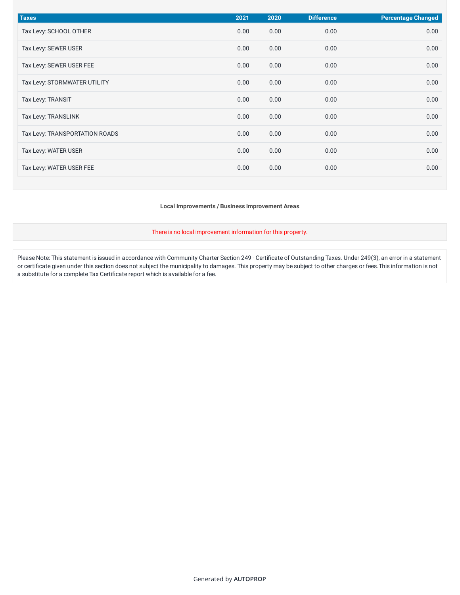| <b>Taxes</b>                   | 2021 | 2020 | <b>Difference</b> | <b>Percentage Changed</b> |
|--------------------------------|------|------|-------------------|---------------------------|
| Tax Levy: SCHOOL OTHER         | 0.00 | 0.00 | 0.00              | 0.00                      |
| Tax Levy: SEWER USER           | 0.00 | 0.00 | 0.00              | 0.00                      |
| Tax Levy: SEWER USER FEE       | 0.00 | 0.00 | 0.00              | 0.00                      |
| Tax Levy: STORMWATER UTILITY   | 0.00 | 0.00 | 0.00              | 0.00                      |
| Tax Levy: TRANSIT              | 0.00 | 0.00 | 0.00              | 0.00                      |
| Tax Levy: TRANSLINK            | 0.00 | 0.00 | 0.00              | 0.00                      |
| Tax Levy: TRANSPORTATION ROADS | 0.00 | 0.00 | 0.00              | 0.00                      |
| Tax Levy: WATER USER           | 0.00 | 0.00 | 0.00              | 0.00                      |
| Tax Levy: WATER USER FEE       | 0.00 | 0.00 | 0.00              | 0.00                      |

**Local Improvements / Business Improvement Areas**

There is no local improvement information for this property.

Please Note: This statement is issued in accordance with Community Charter Section 249 - Certificate of Outstanding Taxes. Under 249(3), an error in a statement or certificate given under this section does not subject the municipality to damages. This property may be subject to other charges or fees.This information is not a substitute for a complete Tax Certificate report which is available for a fee.